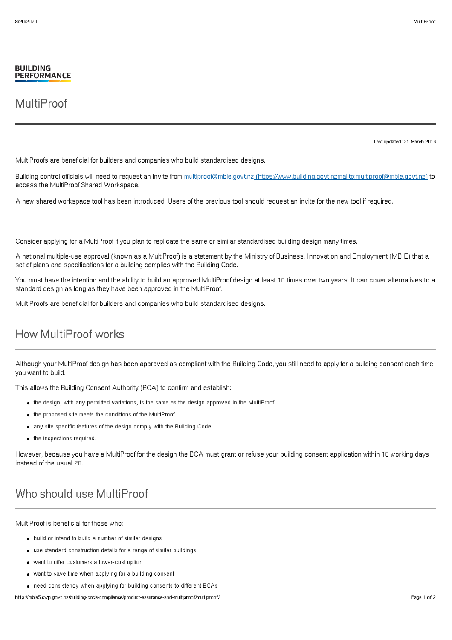## MultiProof

Last updated: 21 March 2016

MultiProofs are beneficial for builders and companies who build standardised designs.

Building control officials will need to request an invite from multiproof@mbie.govt.nz [\(https://www.building.govt.nzmailto:multiproof@mbie.govt.nz\)](mailto:multiproof@mbie.govt.nz) to access the MultiProof Shared Workspace.

A new shared workspace tool has been introduced. Users of the previous tool should request an invite for the new tool if required.

Consider applying for a MultiProof if you plan to replicate the same or similar standardised building design many times.

A national multiple-use approval (known as a MultiProof) is a statement by the Ministry of Business, Innovation and Employment (MBIE) that a set of plans and specifications for a building complies with the Building Code.

You must have the intention and the ability to build an approved MultiProof design at least 10 times over two years. It can cover alternatives to a standard design as long as they have been approved in the MultiProof.

MultiProofs are beneficial for builders and companies who build standardised designs.

## How MultiProof works

Although your MultiProof design has been approved as compliant with the Building Code, you still need to apply for a building consent each time you want to build.

This allows the Building Consent Authority (BCA) to confirm and establish:

- the design, with any permitted variations, is the same as the design approved in the MultiProof
- the proposed site meets the conditions of the MultiProof
- any site specific features of the design comply with the Building Code
- $\bullet$  the inspections required.

However, because you have a MultiProof for the design the BCA must grant or refuse your building consent application within 10 working days instead of the usual 20.

## Who should use MultiProof

MultiProof is beneficial for those who:

- build or intend to build a number of similar designs
- use standard construction details for a range of similar buildings
- want to offer customers a lower-cost option
- want to save time when applying for a building consent
- need consistency when applying for building consents to different BCAs